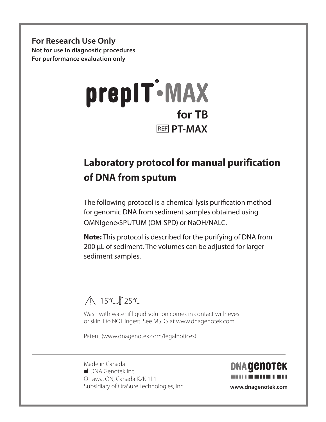**For Research Use Only Not for use in diagnostic procedures For performance evaluation only**



### **Laboratory protocol for manual purification of DNA from sputum**

The following protocol is a chemical lysis purification method for genomic DNA from sediment samples obtained using OMNIgene•SPUTUM (OM-SPD) or NaOH/NALC.

**Note:** This protocol is described for the purifying of DNA from 200 uL of sediment. The volumes can be adjusted for larger sediment samples.

#### **A** 15°C *k* 25°C

Wash with water if liquid solution comes in contact with eyes or skin. Do NOT ingest. See MSDS at www.dnagenotek.com.

Patent (www.dnagenotek.com/legalnotices)

Made in Canada M DNA Genotek Inc. Ottawa, ON, Canada K2K 1L1 Subsidiary of OraSure Technologies, Inc. **www.dnagenotek.com**

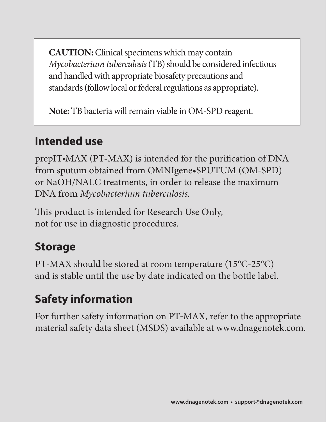**CAUTION:** Clinical specimens which may contain *Mycobacterium tuberculosis* (TB) should be considered infectious and handled with appropriate biosafety precautions and standards (follow local or federal regulations as appropriate).

**Note:** TB bacteria will remain viable in OM-SPD reagent.

## **Intended use**

prepIT•MAX (PT-MAX) is intended for the purification of DNA from sputum obtained from OMNIgene•SPUTUM (OM-SPD) or NaOH/NALC treatments, in order to release the maximum DNA from *Mycobacterium tuberculosis.*

This product is intended for Research Use Only, not for use in diagnostic procedures.

### **Storage**

PT-MAX should be stored at room temperature (15°C-25°C) and is stable until the use by date indicated on the bottle label.

# **Safety information**

For further safety information on PT-MAX, refer to the appropriate material safety data sheet (MSDS) available at www.dnagenotek.com.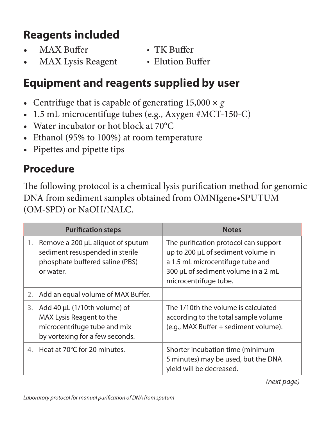## **Reagents included**

- MAX Buffer TK Buffer
- MAX Lysis Reagent Elution Buffer

### **Equipment and reagents supplied by user**

- Centrifuge that is capable of generating  $15,000 \times g$
- 1.5 mL microcentifuge tubes (e.g., Axygen #MCT-150-C)
- Water incubator or hot block at 70°C
- Ethanol (95% to 100%) at room temperature
- Pipettes and pipette tips

#### **Procedure**

The following protocol is a chemical lysis purification method for genomic DNA from sediment samples obtained from OMNIgene•SPUTUM (OM-SPD) or NaOH/NALC.

| <b>Purification steps</b> |                                                                                                                             | <b>Notes</b>                                                                                                                                                                    |  |
|---------------------------|-----------------------------------------------------------------------------------------------------------------------------|---------------------------------------------------------------------------------------------------------------------------------------------------------------------------------|--|
| 1.                        | Remove a 200 µL aliquot of sputum<br>sediment resuspended in sterile<br>phosphate buffered saline (PBS)<br>or water.        | The purification protocol can support<br>up to 200 µL of sediment volume in<br>a 1.5 mL microcentifuge tube and<br>300 µL of sediment volume in a 2 mL<br>microcentrifuge tube. |  |
| 2.                        | Add an equal volume of MAX Buffer.                                                                                          |                                                                                                                                                                                 |  |
| 3.                        | Add 40 µL (1/10th volume) of<br>MAX Lysis Reagent to the<br>microcentrifuge tube and mix<br>by vortexing for a few seconds. | The 1/10th the volume is calculated<br>according to the total sample volume<br>(e.g., MAX Buffer + sediment volume).                                                            |  |
| $\overline{4}$            | Heat at 70°C for 20 minutes.                                                                                                | Shorter incubation time (minimum<br>5 minutes) may be used, but the DNA<br>yield will be decreased.                                                                             |  |

*(next page)*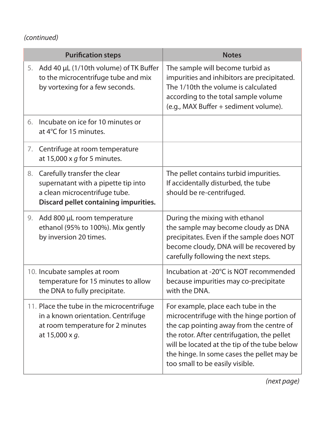#### *(continued)*

| <b>Purification steps</b> |                                                                                                                                               | <b>Notes</b>                                                                                                                                                                                                                                                                                                 |  |
|---------------------------|-----------------------------------------------------------------------------------------------------------------------------------------------|--------------------------------------------------------------------------------------------------------------------------------------------------------------------------------------------------------------------------------------------------------------------------------------------------------------|--|
| 5.                        | Add 40 µL (1/10th volume) of TK Buffer<br>to the microcentrifuge tube and mix<br>by vortexing for a few seconds.                              | The sample will become turbid as<br>impurities and inhibitors are precipitated.<br>The 1/10th the volume is calculated<br>according to the total sample volume<br>(e.g., MAX Buffer + sediment volume).                                                                                                      |  |
| 6.                        | Incubate on ice for 10 minutes or<br>at 4°C for 15 minutes.                                                                                   |                                                                                                                                                                                                                                                                                                              |  |
|                           | 7. Centrifuge at room temperature<br>at 15,000 x $q$ for 5 minutes.                                                                           |                                                                                                                                                                                                                                                                                                              |  |
| 8.                        | Carefully transfer the clear<br>supernatant with a pipette tip into<br>a clean microcentrifuge tube.<br>Discard pellet containing impurities. | The pellet contains turbid impurities.<br>If accidentally disturbed, the tube<br>should be re-centrifuged.                                                                                                                                                                                                   |  |
| 9.                        | Add 800 µL room temperature<br>ethanol (95% to 100%). Mix gently<br>by inversion 20 times.                                                    | During the mixing with ethanol<br>the sample may become cloudy as DNA<br>precipitates. Even if the sample does NOT<br>become cloudy, DNA will be recovered by<br>carefully following the next steps.                                                                                                         |  |
|                           | 10. Incubate samples at room<br>temperature for 15 minutes to allow<br>the DNA to fully precipitate.                                          | Incubation at -20°C is NOT recommended<br>because impurities may co-precipitate<br>with the DNA                                                                                                                                                                                                              |  |
|                           | 11. Place the tube in the microcentrifuge<br>in a known orientation. Centrifuge<br>at room temperature for 2 minutes<br>at 15,000 x q.        | For example, place each tube in the<br>microcentrifuge with the hinge portion of<br>the cap pointing away from the centre of<br>the rotor. After centrifugation, the pellet<br>will be located at the tip of the tube below<br>the hinge. In some cases the pellet may be<br>too small to be easily visible. |  |

*(next page)*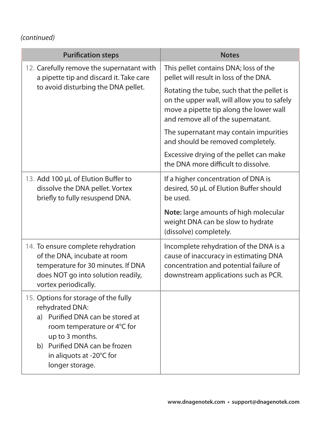#### *(continued)*

| <b>Purification steps</b>                                                                                                                                                                                                     | <b>Notes</b>                                                                                                                                                               |  |
|-------------------------------------------------------------------------------------------------------------------------------------------------------------------------------------------------------------------------------|----------------------------------------------------------------------------------------------------------------------------------------------------------------------------|--|
| 12. Carefully remove the supernatant with<br>a pipette tip and discard it. Take care                                                                                                                                          | This pellet contains DNA; loss of the<br>pellet will result in loss of the DNA.                                                                                            |  |
| to avoid disturbing the DNA pellet.                                                                                                                                                                                           | Rotating the tube, such that the pellet is<br>on the upper wall, will allow you to safely<br>move a pipette tip along the lower wall<br>and remove all of the supernatant. |  |
|                                                                                                                                                                                                                               | The supernatant may contain impurities<br>and should be removed completely.                                                                                                |  |
|                                                                                                                                                                                                                               | Excessive drying of the pellet can make<br>the DNA more difficult to dissolve.                                                                                             |  |
| 13. Add 100 µL of Elution Buffer to<br>dissolve the DNA pellet. Vortex<br>briefly to fully resuspend DNA.                                                                                                                     | If a higher concentration of DNA is<br>desired, 50 µL of Elution Buffer should<br>be used.                                                                                 |  |
|                                                                                                                                                                                                                               | Note: large amounts of high molecular<br>weight DNA can be slow to hydrate<br>(dissolve) completely.                                                                       |  |
| 14. To ensure complete rehydration<br>of the DNA, incubate at room<br>temperature for 30 minutes. If DNA<br>does NOT go into solution readily,<br>vortex periodically.                                                        | Incomplete rehydration of the DNA is a<br>cause of inaccuracy in estimating DNA<br>concentration and potential failure of<br>downstream applications such as PCR.          |  |
| 15. Options for storage of the fully<br>rehydrated DNA:<br>a) Purified DNA can be stored at<br>room temperature or 4°C for<br>up to 3 months.<br>b) Purified DNA can be frozen<br>in aliquots at -20°C for<br>longer storage. |                                                                                                                                                                            |  |